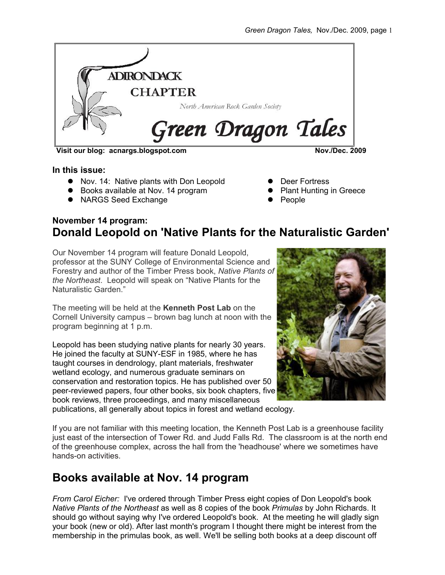

**Visit our blog: acnargs.blogspot.com Nov./Dec. 2009**

**In this issue:**

- Nov. 14: Native plants with Don Leopold
- Books available at Nov. 14 program
- NARGS Seed Exchange

- Deer Fortress
- Plant Hunting in Greece
- People

### **November 14 program: Donald Leopold on 'Native Plants for the Naturalistic Garden'**

Our November 14 program will feature Donald Leopold, professor at the SUNY College of Environmental Science and Forestry and author of the Timber Press book, *Native Plants of the Northeast*. Leopold will speak on "Native Plants for the Naturalistic Garden."

The meeting will be held at the **Kenneth Post Lab** on the Cornell University campus – brown bag lunch at noon with the program beginning at 1 p.m.

Leopold has been studying native plants for nearly 30 years. He joined the faculty at SUNY-ESF in 1985, where he has taught courses in dendrology, plant materials, freshwater wetland ecology, and numerous graduate seminars on conservation and restoration topics. He has published over 50 peer-reviewed papers, four other books, six book chapters, five book reviews, three proceedings, and many miscellaneous



publications, all generally about topics in forest and wetland ecology.

If you are not familiar with this meeting location, the Kenneth Post Lab is a greenhouse facility just east of the intersection of Tower Rd. and Judd Falls Rd. The classroom is at the north end of the greenhouse complex, across the hall from the 'headhouse' where we sometimes have hands-on activities.

## **Books available at Nov. 14 program**

*From Carol Eicher:* I've ordered through Timber Press eight copies of Don Leopold's book *Native Plants of the Northeast* as well as 8 copies of the book *Primulas* by John Richards. It should go without saying why I've ordered Leopold's book. At the meeting he will gladly sign your book (new or old). After last month's program I thought there might be interest from the membership in the primulas book, as well. We'll be selling both books at a deep discount off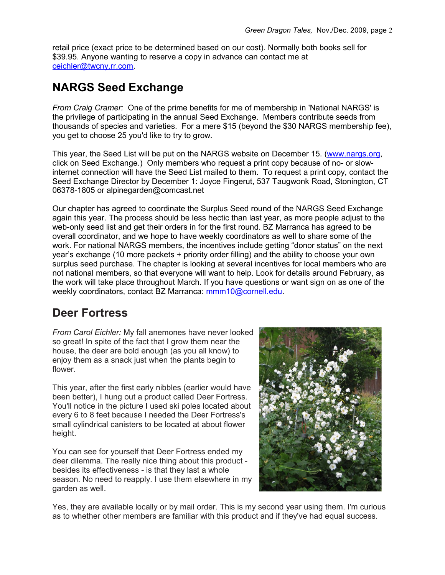retail price (exact price to be determined based on our cost). Normally both books sell for \$39.95. Anyone wanting to reserve a copy in advance can contact me at [ceichler@twcny.rr.com.](mailto:ceichler@twcny.rr.com)

# **NARGS Seed Exchange**

*From Craig Cramer:* One of the prime benefits for me of membership in 'National NARGS' is the privilege of participating in the annual Seed Exchange. Members contribute seeds from thousands of species and varieties. For a mere \$15 (beyond the \$30 NARGS membership fee), you get to choose 25 you'd like to try to grow.

This year, the Seed List will be put on the NARGS website on December 15. [\(www.nargs.org,](http://www.nargs.org/) click on Seed Exchange.) Only members who request a print copy because of no- or slowinternet connection will have the Seed List mailed to them. To request a print copy, contact the Seed Exchange Director by December 1: Joyce Fingerut, 537 Taugwonk Road, Stonington, CT 06378-1805 or alpinegarden@comcast.net

Our chapter has agreed to coordinate the Surplus Seed round of the NARGS Seed Exchange again this year. The process should be less hectic than last year, as more people adjust to the web-only seed list and get their orders in for the first round. BZ Marranca has agreed to be overall coordinator, and we hope to have weekly coordinators as well to share some of the work. For national NARGS members, the incentives include getting "donor status" on the next year's exchange (10 more packets + priority order filling) and the ability to choose your own surplus seed purchase. The chapter is looking at several incentives for local members who are not national members, so that everyone will want to help. Look for details around February, as the work will take place throughout March. If you have questions or want sign on as one of the weekly coordinators, contact BZ Marranca: [mmm10@cornell.edu.](mailto:mmm10@cornell.edu)

## **Deer Fortress**

*From Carol Eichler:* My fall anemones have never looked so great! In spite of the fact that I grow them near the house, the deer are bold enough (as you all know) to enjoy them as a snack just when the plants begin to flower.

This year, after the first early nibbles (earlier would have been better), I hung out a product called Deer Fortress. You'll notice in the picture I used ski poles located about every 6 to 8 feet because I needed the Deer Fortress's small cylindrical canisters to be located at about flower height.

You can see for yourself that Deer Fortress ended my deer dilemma. The really nice thing about this product besides its effectiveness - is that they last a whole season. No need to reapply. I use them elsewhere in my garden as well.



Yes, they are available locally or by mail order. This is my second year using them. I'm curious as to whether other members are familiar with this product and if they've had equal success.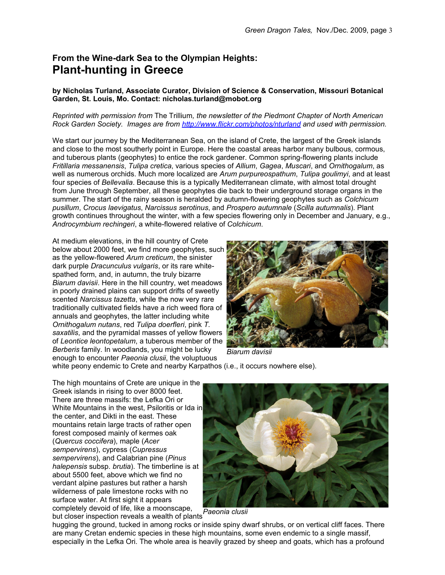## **From the Wine-dark Sea to the Olympian Heights: Plant-hunting in Greece**

### **by Nicholas Turland, Associate Curator, Division of Science & Conservation, Missouri Botanical Garden, St. Louis, Mo. Contact: nicholas.turland@mobot.org**

#### *Reprinted with permission from* The Trillium*, the newsletter of the Piedmont Chapter of North American Rock Garden Society. Images are from<http://www.flickr.com/photos/nturland>and used with permission.*

We start our journey by the Mediterranean Sea, on the island of Crete, the largest of the Greek islands and close to the most southerly point in Europe. Here the coastal areas harbor many bulbous, cormous, and tuberous plants (geophytes) to entice the rock gardener. Common spring-flowering plants include *Fritillaria messanensis*, *Tulipa cretica*, various species of *Allium*, *Gagea*, *Muscari*, and *Ornithogalum*, as well as numerous orchids. Much more localized are *Arum purpureospathum*, *Tulipa goulimyi*, and at least four species of *Bellevalia*. Because this is a typically Mediterranean climate, with almost total drought from June through September, all these geophytes die back to their underground storage organs in the summer. The start of the rainy season is heralded by autumn-flowering geophytes such as *Colchicum pusillum*, *Crocus laevigatus*, *Narcissus serotinus*, and *Prospero autumnale* (*Scilla autumnalis*). Plant growth continues throughout the winter, with a few species flowering only in December and January, e.g., *Androcymbium rechingeri*, a white-flowered relative of *Colchicum*.

At medium elevations, in the hill country of Crete below about 2000 feet, we find more geophytes, such as the yellow-flowered *Arum creticum*, the sinister dark purple *Dracunculus vulgaris*, or its rare whitespathed form, and, in autumn, the truly bizarre *Biarum davisii*. Here in the hill country, wet meadows in poorly drained plains can support drifts of sweetly scented *Narcissus tazetta*, while the now very rare traditionally cultivated fields have a rich weed flora of annuals and geophytes, the latter including white *Ornithogalum nutans*, red *Tulipa doerfleri*, pink *T. saxatilis*, and the pyramidal masses of yellow flowers of *Leontice leontopetalum*, a tuberous member of the *Berberis* family. In woodlands, you might be lucky enough to encounter *Paeonia clusii*, the voluptuous



*Biarum davisii* 

white peony endemic to Crete and nearby Karpathos (i.e., it occurs nowhere else).

The high mountains of Crete are unique in the Greek islands in rising to over 8000 feet. There are three massifs: the Lefka Ori or White Mountains in the west, Psiloritis or Ida in the center, and Dikti in the east. These mountains retain large tracts of rather open forest composed mainly of kermes oak (*Quercus coccifera*), maple (*Acer sempervirens*), cypress (*Cupressus sempervirens*), and Calabrian pine (*Pinus halepensis* subsp. *brutia*). The timberline is at about 5500 feet, above which we find no verdant alpine pastures but rather a harsh wilderness of pale limestone rocks with no surface water. At first sight it appears completely devoid of life, like a moonscape, but closer inspection reveals a wealth of plants *Paeonia clusii*



hugging the ground, tucked in among rocks or inside spiny dwarf shrubs, or on vertical cliff faces. There are many Cretan endemic species in these high mountains, some even endemic to a single massif, especially in the Lefka Ori. The whole area is heavily grazed by sheep and goats, which has a profound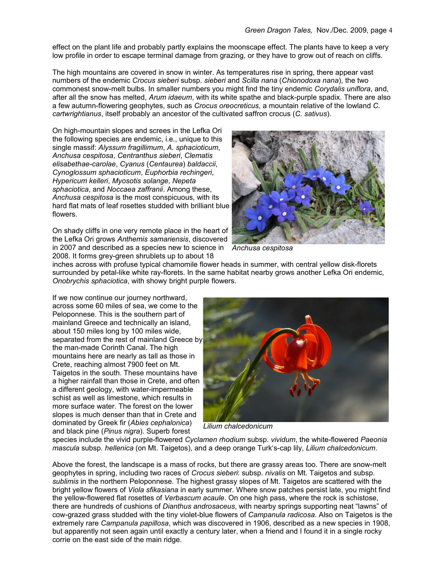effect on the plant life and probably partly explains the moonscape effect. The plants have to keep a very low profile in order to escape terminal damage from grazing, or they have to grow out of reach on cliffs.

The high mountains are covered in snow in winter. As temperatures rise in spring, there appear vast numbers of the endemic *Crocus sieberi* subsp. *sieberi* and *Scilla nana* (*Chionodoxa nana*), the two commonest snow-melt bulbs. In smaller numbers you might find the tiny endemic *Corydalis uniflora*, and, after all the snow has melted, *Arum idaeum*, with its white spathe and black-purple spadix. There are also a few autumn-flowering geophytes, such as *Crocus oreocreticus*, a mountain relative of the lowland *C. cartwrightianus*, itself probably an ancestor of the cultivated saffron crocus (*C. sativus*).

On high-mountain slopes and screes in the Lefka Ori the following species are endemic, i.e., unique to this single massif: *Alyssum fragillimum*, *A. sphacioticum*, *Anchusa cespitosa*, *Centranthus sieberi*, *Clematis elisabethae-carolae*, *Cyanus* (*Centaurea*) *baldaccii*, *Cynoglossum sphacioticum*, *Euphorbia rechingeri*, *Hypericum kelleri*, *Myosotis solange*, *Nepeta sphaciotica*, and *Noccaea zaffranii*. Among these, *Anchusa cespitosa* is the most conspicuous, with its hard flat mats of leaf rosettes studded with brilliant blue flowers.

On shady cliffs in one very remote place in the heart of the Lefka Ori grows *Anthemis samariensis*, discovered in 2007 and described as a species new to science in *Anchusa cespitosa* 2008. It forms grey-green shrublets up to about 18



inches across with profuse typical chamomile flower heads in summer, with central yellow disk-florets surrounded by petal-like white ray-florets. In the same habitat nearby grows another Lefka Ori endemic, *Onobrychis sphaciotica*, with showy bright purple flowers.

If we now continue our journey northward, across some 60 miles of sea, we come to the Peloponnese. This is the southern part of mainland Greece and technically an island, about 150 miles long by 100 miles wide, separated from the rest of mainland Greece by the man-made Corinth Canal. The high mountains here are nearly as tall as those in Crete, reaching almost 7900 feet on Mt. Taigetos in the south. These mountains have a higher rainfall than those in Crete, and often a different geology, with water-impermeable schist as well as limestone, which results in more surface water. The forest on the lower slopes is much denser than that in Crete and dominated by Greek fir (*Abies cephalonica*) and black pine (*Pinus nigra*). Superb forest



*Lilium chalcedonicum*

species include the vivid purple-flowered *Cyclamen rhodium* subsp. *vividum*, the white-flowered *Paeonia mascula* subsp. *hellenica* (on Mt. Taigetos), and a deep orange Turk's-cap lily, *Lilium chalcedonicum*.

Above the forest, the landscape is a mass of rocks, but there are grassy areas too. There are snow-melt geophytes in spring, including two races of *Crocus sieberi*: subsp. *nivalis* on Mt. Taigetos and subsp. *sublimis* in the northern Peloponnese. The highest grassy slopes of Mt. Taigetos are scattered with the bright yellow flowers of *Viola sfikasiana* in early summer. Where snow patches persist late, you might find the yellow-flowered flat rosettes of *Verbascum acaule*. On one high pass, where the rock is schistose, there are hundreds of cushions of *Dianthus androsaceus*, with nearby springs supporting neat "lawns" of cow-grazed grass studded with the tiny violet-blue flowers of *Campanula radicosa*. Also on Taigetos is the extremely rare *Campanula papillosa*, which was discovered in 1906, described as a new species in 1908, but apparently not seen again until exactly a century later, when a friend and I found it in a single rocky corrie on the east side of the main ridge.